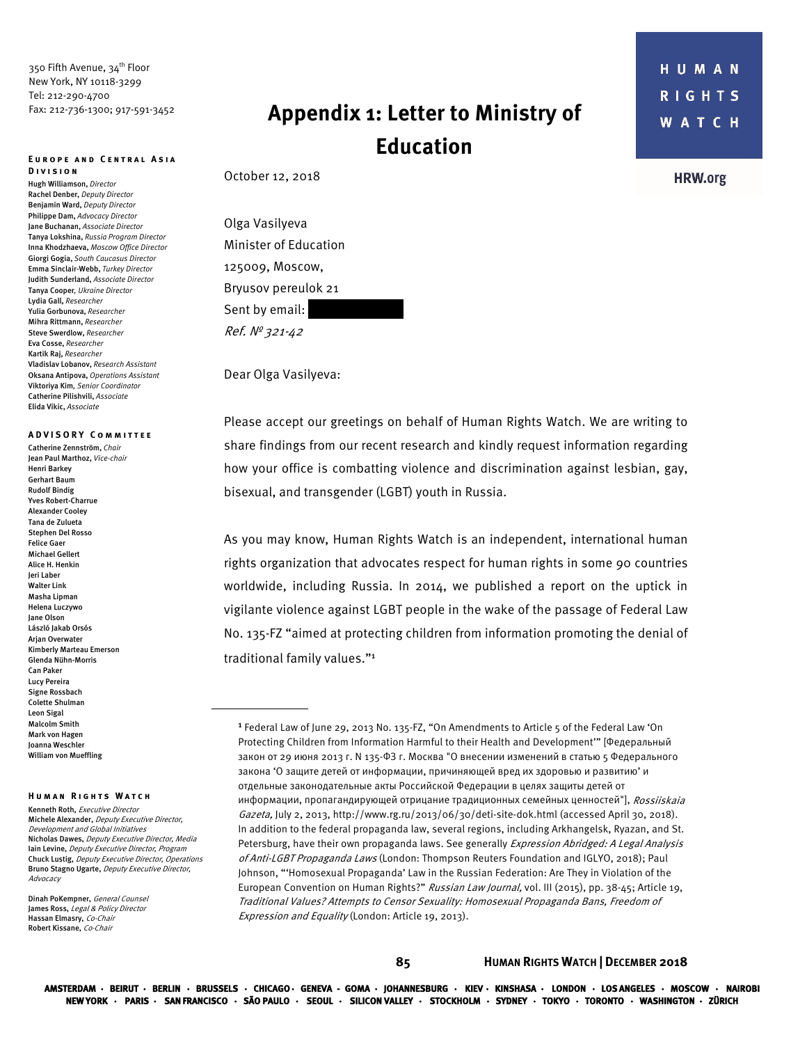350 Fifth Avenue, 34<sup>th</sup> Floor New York, NY 10118-3299 Tel: 212-290-4700 Fax: 212-736-1300; 917-591-3452

#### **Europe and Central Asia Division**

Hugh Williamson, *Director* Rachel Denber, *Deputy Director*  Benjamin Ward, *Deputy Director*  Philippe Dam, *Advocacy Director*  Jane Buchanan, *Associate Director*  Tanya Lokshina, *Russia Program Director*  Inna Khodzhaeva, *Moscow Office Director* Giorgi Gogia, *South Caucasus Director* Emma Sinclair-Webb, *Turkey Director*  Judith Sunderland, *Associate Director*  Tanya Cooper*, Ukraine Director*  Lydia Gall, *Researcher* Yulia Gorbunova, *Researcher*  Mihra Rittmann, *Researcher* Steve Swerdlow, *Researcher*  Eva Cosse, *Researcher*  Kartik Raj, *Researcher*  Vladislav Lobanov, *Research Assistant* Oksana Antipova, *Operations Assistant*  Viktoriya Kim*, Senior Coordinator*  Catherine Pilishvili, *Associate*  Elida Vikic, *Associate* 

## **A DVISORY Committee**

Catherine Zennström, *Chair* Jean Paul Marthoz, *Vice-chair* Henri Barkey Gerhart Baum Rudolf Bindig Yves Robert-Charrue Alexander Cooley Tana de Zulueta Stephen Del Rosso Felice Gaer Michael Gellert Alice H. Henkin Jeri Laber Walter Link Masha Lipman Helena Luczywo Jane Olson László Jakab Orsós Arjan Overwater Kimberly Marteau Emerson Glenda Nühn-Morris Can Paker Lucy Pereira Signe Rossbach Colette Shulman Leon Sigal Malcolm Smith Mark von Hagen Joanna Weschler William von Mueffling

#### **Human Rights Watch**

Kenneth Roth, Executive Director Michele Alexander, Deputy Executive Director, Development and Global Initiatives Nicholas Dawes, Deputy Executive Director, Media Iain Levine, Deputy Executive Director, Program Chuck Lustig, Deputy Executive Director, Operations Bruno Stagno Ugarte, Deputy Executive Director, Advocacy

Dinah PoKempner, General Counsel James Ross, Legal & Policy Director Hassan Elmasry, Co-Chair Robert Kissane, Co-Chair

# **Appendix 1: Letter to Ministry of Education**

October 12, 2018

Olga Vasilyeva Minister of Education 125009, Moscow, Bryusov pereulok 21 Sent by email: Ref. № 321-42

Dear Olga Vasilyeva:

Please accept our greetings on behalf of Human Rights Watch. We are writing to share findings from our recent research and kindly request information regarding how your office is combatting violence and discrimination against lesbian, gay, bisexual, and transgender (LGBT) youth in Russia.

As you may know, Human Rights Watch is an independent, international human rights organization that advocates respect for human rights in some 90 countries worldwide, including Russia. In 2014, we published a report on the uptick in vigilante violence against LGBT people in the wake of the passage of Federal Law No. 135-FZ "aimed at protecting children from information promoting the denial of traditional family values."<sup>1</sup>

**HRW.org** 

<sup>&</sup>lt;sup>1</sup> Federal Law of June 29, 2013 No. 135-FZ, "On Amendments to Article 5 of the Federal Law 'On Protecting Children from Information Harmful to their Health and Development'" [Федеральный закон от 29 июня 2013 г. N 135-ФЗ г. Москва "О внесении изменений в статью 5 Федерального закона 'О защите детей от информации, причиняющей вред их здоровью и развитию' и отдельные законодательные акты Российской Федерации в целях защиты детей от информации, пропагандирующей отрицание традиционных семейных ценностей"], Rossiiskaia Gazeta, July 2, 2013, http://www.rg.ru/2013/06/30/deti-site-dok.html (accessed April 30, 2018). In addition to the federal propaganda law, several regions, including Arkhangelsk, Ryazan, and St. Petersburg, have their own propaganda laws. See generally Expression Abridged: A Legal Analysis of Anti-LGBT Propaganda Laws (London: Thompson Reuters Foundation and IGLYO, 2018); Paul Johnson, "'Homosexual Propaganda' Law in the Russian Federation: Are They in Violation of the European Convention on Human Rights?" Russian Law Journal, vol. III (2015), pp. 38-45; Article 19, Traditional Values? Attempts to Censor Sexuality: Homosexual Propaganda Bans, Freedom of Expression and Equality (London: Article 19, 2013).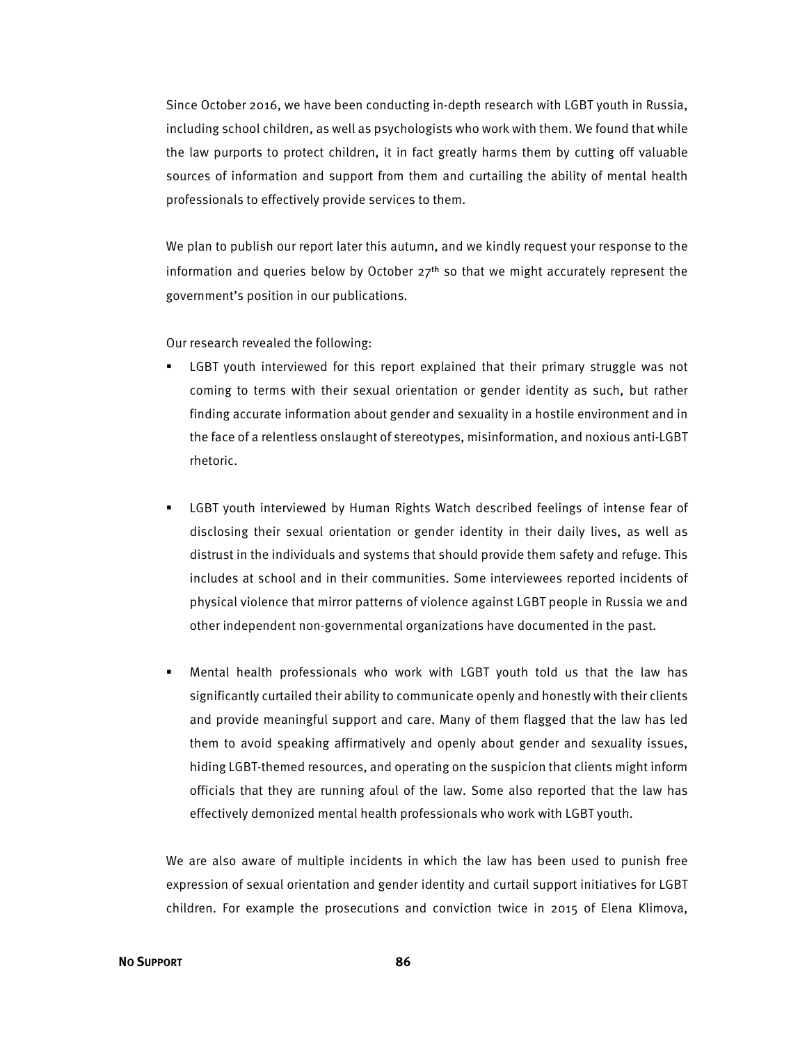Since October 2016, we have been conducting in-depth research with LGBT youth in Russia, including school children, as well as psychologists who work with them. We found that while the law purports to protect children, it in fact greatly harms them by cutting off valuable sources of information and support from them and curtailing the ability of mental health professionals to effectively provide services to them.

We plan to publish our report later this autumn, and we kindly request your response to the information and queries below by October  $27<sup>th</sup>$  so that we might accurately represent the government's position in our publications.

Our research revealed the following:

- LGBT youth interviewed for this report explained that their primary struggle was not coming to terms with their sexual orientation or gender identity as such, but rather finding accurate information about gender and sexuality in a hostile environment and in the face of a relentless onslaught of stereotypes, misinformation, and noxious anti-LGBT rhetoric.
- LGBT youth interviewed by Human Rights Watch described feelings of intense fear of disclosing their sexual orientation or gender identity in their daily lives, as well as distrust in the individuals and systems that should provide them safety and refuge. This includes at school and in their communities. Some interviewees reported incidents of physical violence that mirror patterns of violence against LGBT people in Russia we and other independent non-governmental organizations have documented in the past.
- Mental health professionals who work with LGBT youth told us that the law has significantly curtailed their ability to communicate openly and honestly with their clients and provide meaningful support and care. Many of them flagged that the law has led them to avoid speaking affirmatively and openly about gender and sexuality issues, hiding LGBT-themed resources, and operating on the suspicion that clients might inform officials that they are running afoul of the law. Some also reported that the law has effectively demonized mental health professionals who work with LGBT youth.

We are also aware of multiple incidents in which the law has been used to punish free expression of sexual orientation and gender identity and curtail support initiatives for LGBT children. For example the prosecutions and conviction twice in 2015 of Elena Klimova,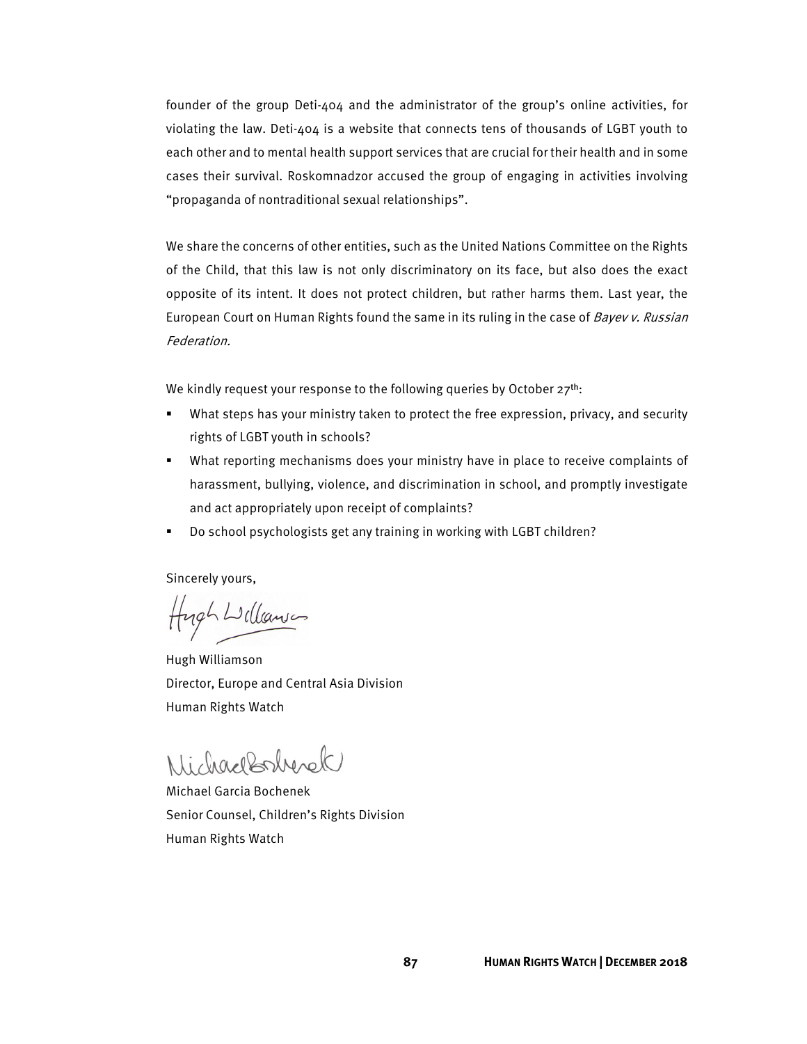founder of the group Deti-404 and the administrator of the group's online activities, for violating the law. Deti-404 is a website that connects tens of thousands of LGBT youth to each other and to mental health support services that are crucial for their health and in some cases their survival. Roskomnadzor accused the group of engaging in activities involving "propaganda of nontraditional sexual relationships".

We share the concerns of other entities, such as the United Nations Committee on the Rights of the Child, that this law is not only discriminatory on its face, but also does the exact opposite of its intent. It does not protect children, but rather harms them. Last year, the European Court on Human Rights found the same in its ruling in the case of Bayev v. Russian Federation.

We kindly request your response to the following queries by October  $27^{th}$ :

- What steps has your ministry taken to protect the free expression, privacy, and security rights of LGBT youth in schools?
- What reporting mechanisms does your ministry have in place to receive complaints of harassment, bullying, violence, and discrimination in school, and promptly investigate and act appropriately upon receipt of complaints?
- Do school psychologists get any training in working with LGBT children?

Sincerely yours,

Hugh Williamson

Hugh Williamson Director, Europe and Central Asia Division Human Rights Watch

Michael Garcia Bochenek Senior Counsel, Children's Rights Division Human Rights Watch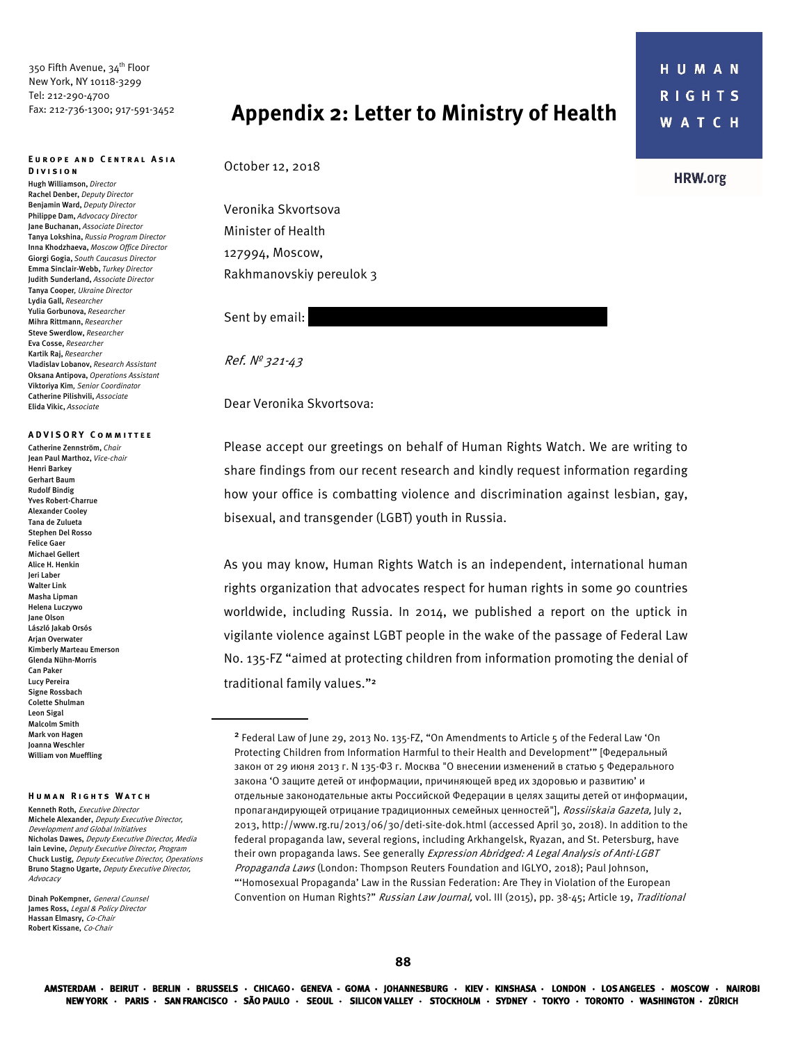350 Fifth Avenue, 34<sup>th</sup> Floor New York, NY 10118-3299 Tel: 212-290-4700 Fax: 212-736-1300; 917-591-3452

#### **Europe and Central Asia Division**

Hugh Williamson, *Director* Rachel Denber, *Deputy Director*  Benjamin Ward, *Deputy Director*  Philippe Dam, *Advocacy Director*  Jane Buchanan, *Associate Director*  Tanya Lokshina, *Russia Program Director*  Inna Khodzhaeva, *Moscow Office Director* Giorgi Gogia, *South Caucasus Director* Emma Sinclair-Webb, *Turkey Director*  Judith Sunderland, *Associate Director*  Tanya Cooper*, Ukraine Director*  Lydia Gall, *Researcher* Yulia Gorbunova, *Researcher*  Mihra Rittmann, *Researcher* Steve Swerdlow, *Researcher*  Eva Cosse, *Researcher*  Kartik Raj, *Researcher*  Vladislav Lobanov, *Research Assistant* Oksana Antipova, *Operations Assistant*  Viktoriya Kim*, Senior Coordinator*  Catherine Pilishvili, *Associate*  Elida Vikic, *Associate* 

## **A DVISORY Committee**

Catherine Zennström, *Chair* Jean Paul Marthoz, *Vice-chair* Henri Barkey Gerhart Baum Rudolf Bindig Yves Robert-Charrue Alexander Cooley Tana de Zulueta Stephen Del Rosso Felice Gaer Michael Gellert Alice H. Henkin Jeri Laber Walter Link Masha Lipman Helena Luczywo Jane Olson László Jakab Orsós Arian Overwater Kimberly Marteau Emerson Glenda Nühn-Morris Can Paker Lucy Pereira Signe Rossbach Colette Shulman Leon Sigal Malcolm Smith Mark von Hagen Joanna Weschler William von Mueffling

### **Human Rights Watch**

Kenneth Roth, Executive Director Michele Alexander, Deputy Executive Director, Development and Global Initiatives Nicholas Dawes, Deputy Executive Director, Media Iain Levine, Deputy Executive Director, Program Chuck Lustig, Deputy Executive Director, Operations Bruno Stagno Ugarte, Deputy Executive Director, Advocacy

Dinah PoKempner, General Counsel James Ross, Legal & Policy Director Hassan Elmasry, Co-Chair Robert Kissane, Co-Chair

## **Appendix 2: Letter to Ministry of Health**

October 12, 2018

Veronika Skvortsova Minister of Health 127994, Moscow, Rakhmanovskiy pereulok 3

Sent by email:

Ref. № 321-43

## Dear Veronika Skvortsova:

Please accept our greetings on behalf of Human Rights Watch. We are writing to share findings from our recent research and kindly request information regarding how your office is combatting violence and discrimination against lesbian, gay, bisexual, and transgender (LGBT) youth in Russia.

As you may know, Human Rights Watch is an independent, international human rights organization that advocates respect for human rights in some 90 countries worldwide, including Russia. In 2014, we published a report on the uptick in vigilante violence against LGBT people in the wake of the passage of Federal Law No. 135-FZ "aimed at protecting children from information promoting the denial of traditional family values."<sup>2</sup>

**HRW.org** 

<sup>2</sup> Federal Law of June 29, 2013 No. 135-FZ, "On Amendments to Article 5 of the Federal Law 'On Protecting Children from Information Harmful to their Health and Development'" [Федеральный закон от 29 июня 2013 г. N 135-ФЗ г. Москва "О внесении изменений в статью 5 Федерального закона 'О защите детей от информации, причиняющей вред их здоровью и развитию' и отдельные законодательные акты Российской Федерации в целях защиты детей от информации, пропагандирующей отрицание традиционных семейных ценностей"], Rossiiskaia Gazeta, July 2, 2013, http://www.rg.ru/2013/06/30/deti-site-dok.html (accessed April 30, 2018). In addition to the federal propaganda law, several regions, including Arkhangelsk, Ryazan, and St. Petersburg, have their own propaganda laws. See generally Expression Abridged: A Legal Analysis of Anti-LGBT Propaganda Laws (London: Thompson Reuters Foundation and IGLYO, 2018); Paul Johnson, "'Homosexual Propaganda' Law in the Russian Federation: Are They in Violation of the European Convention on Human Rights?" Russian Law Journal, vol. III (2015), pp. 38-45; Article 19, Traditional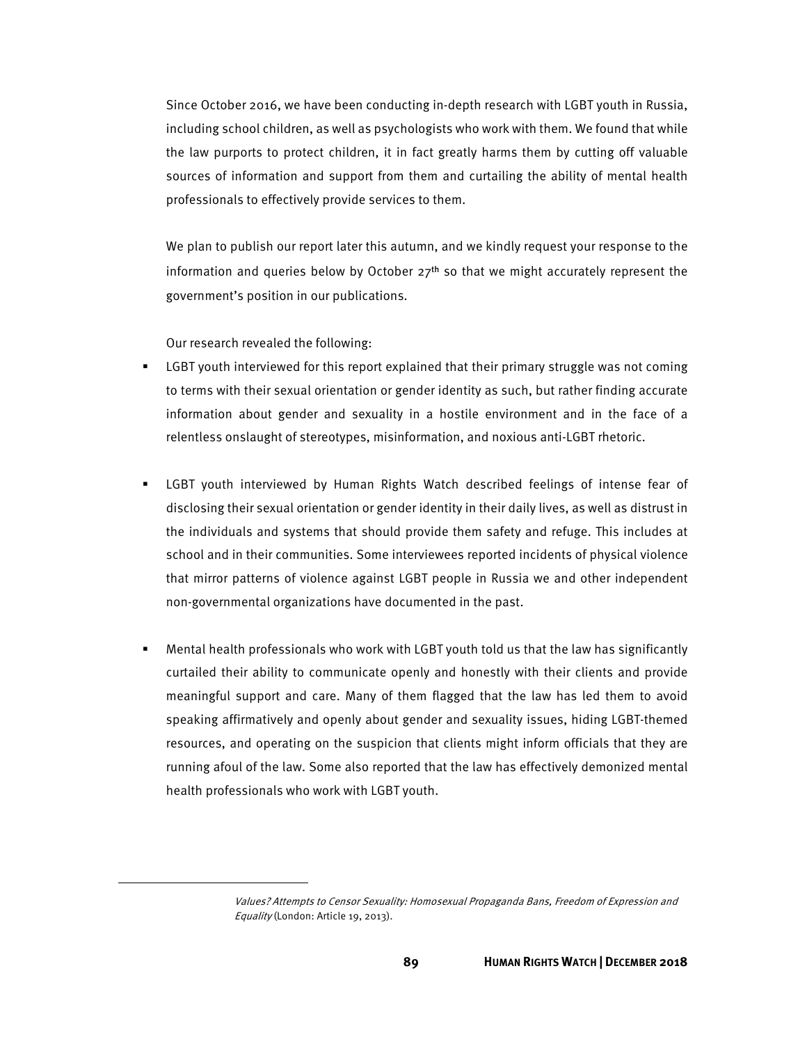Since October 2016, we have been conducting in-depth research with LGBT youth in Russia, including school children, as well as psychologists who work with them. We found that while the law purports to protect children, it in fact greatly harms them by cutting off valuable sources of information and support from them and curtailing the ability of mental health professionals to effectively provide services to them.

We plan to publish our report later this autumn, and we kindly request your response to the information and queries below by October  $27<sup>th</sup>$  so that we might accurately represent the government's position in our publications.

Our research revealed the following:

 $\overline{\phantom{a}}$ 

- LGBT youth interviewed for this report explained that their primary struggle was not coming to terms with their sexual orientation or gender identity as such, but rather finding accurate information about gender and sexuality in a hostile environment and in the face of a relentless onslaught of stereotypes, misinformation, and noxious anti-LGBT rhetoric.
- LGBT youth interviewed by Human Rights Watch described feelings of intense fear of disclosing their sexual orientation or gender identity in their daily lives, as well as distrust in the individuals and systems that should provide them safety and refuge. This includes at school and in their communities. Some interviewees reported incidents of physical violence that mirror patterns of violence against LGBT people in Russia we and other independent non-governmental organizations have documented in the past.
- Mental health professionals who work with LGBT youth told us that the law has significantly curtailed their ability to communicate openly and honestly with their clients and provide meaningful support and care. Many of them flagged that the law has led them to avoid speaking affirmatively and openly about gender and sexuality issues, hiding LGBT-themed resources, and operating on the suspicion that clients might inform officials that they are running afoul of the law. Some also reported that the law has effectively demonized mental health professionals who work with LGBT youth.

Values? Attempts to Censor Sexuality: Homosexual Propaganda Bans, Freedom of Expression and Equality (London: Article 19, 2013).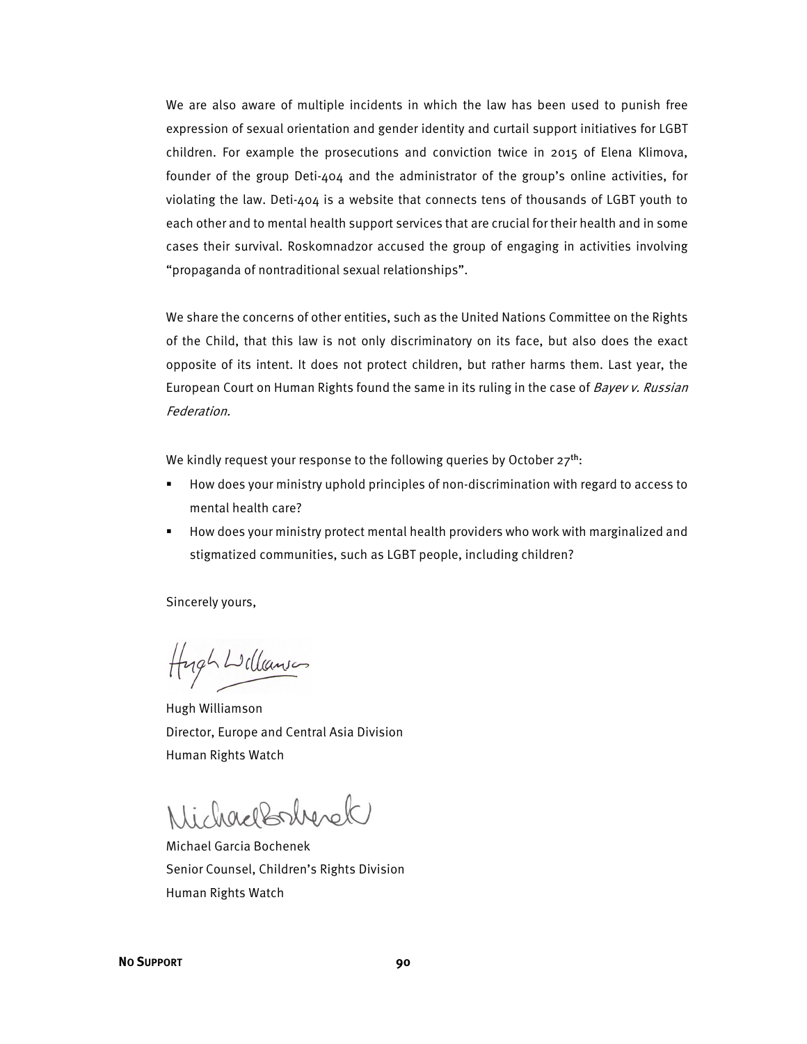We are also aware of multiple incidents in which the law has been used to punish free expression of sexual orientation and gender identity and curtail support initiatives for LGBT children. For example the prosecutions and conviction twice in 2015 of Elena Klimova, founder of the group Deti-404 and the administrator of the group's online activities, for violating the law. Deti-404 is a website that connects tens of thousands of LGBT youth to each other and to mental health support services that are crucial for their health and in some cases their survival. Roskomnadzor accused the group of engaging in activities involving "propaganda of nontraditional sexual relationships".

We share the concerns of other entities, such as the United Nations Committee on the Rights of the Child, that this law is not only discriminatory on its face, but also does the exact opposite of its intent. It does not protect children, but rather harms them. Last year, the European Court on Human Rights found the same in its ruling in the case of Bayev v. Russian Federation.

We kindly request your response to the following queries by October  $27^{th}$ :

- How does your ministry uphold principles of non-discrimination with regard to access to mental health care?
- How does your ministry protect mental health providers who work with marginalized and stigmatized communities, such as LGBT people, including children?

Sincerely yours,

Hugh Williams

Hugh Williamson Director, Europe and Central Asia Division Human Rights Watch

Nichardonherek

Michael Garcia Bochenek Senior Counsel, Children's Rights Division Human Rights Watch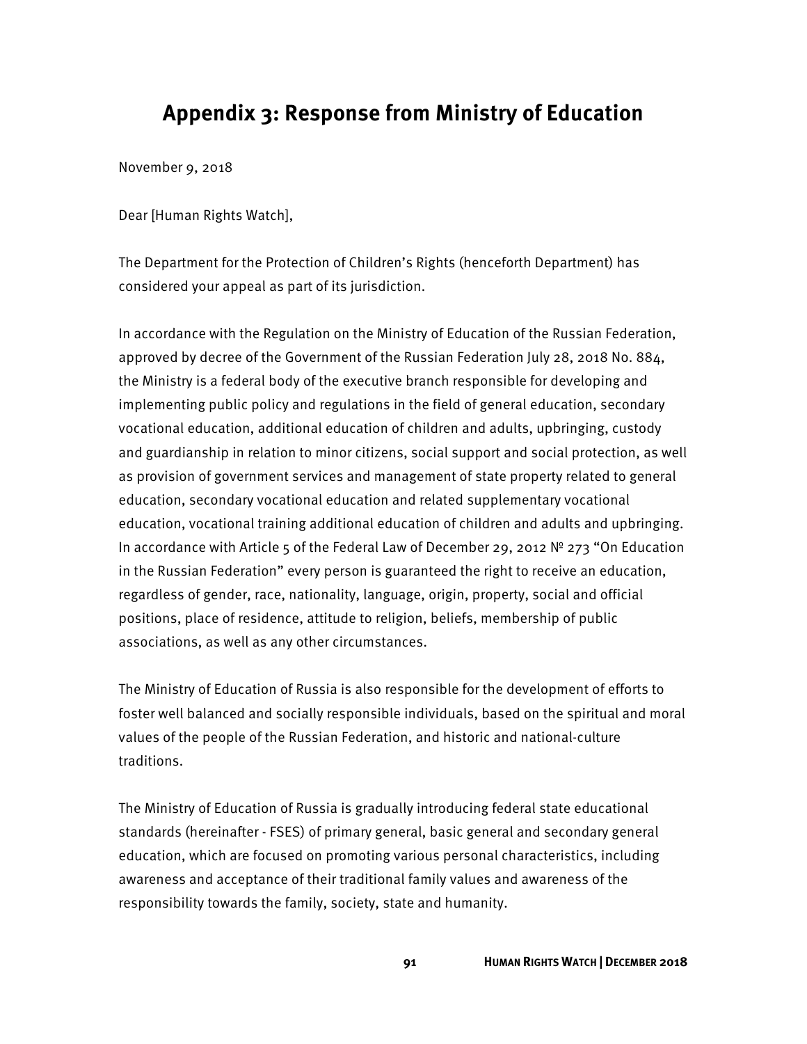## **Appendix 3: Response from Ministry of Education**

November 9, 2018

Dear [Human Rights Watch],

The Department for the Protection of Children's Rights (henceforth Department) has considered your appeal as part of its jurisdiction.

In accordance with the Regulation on the Ministry of Education of the Russian Federation, approved by decree of the Government of the Russian Federation July 28, 2018 No. 884, the Ministry is a federal body of the executive branch responsible for developing and implementing public policy and regulations in the field of general education, secondary vocational education, additional education of children and adults, upbringing, custody and guardianship in relation to minor citizens, social support and social protection, as well as provision of government services and management of state property related to general education, secondary vocational education and related supplementary vocational education, vocational training additional education of children and adults and upbringing. In accordance with Article 5 of the Federal Law of December 29, 2012 № 273 "On Education in the Russian Federation" every person is guaranteed the right to receive an education, regardless of gender, race, nationality, language, origin, property, social and official positions, place of residence, attitude to religion, beliefs, membership of public associations, as well as any other circumstances.

The Ministry of Education of Russia is also responsible for the development of efforts to foster well balanced and socially responsible individuals, based on the spiritual and moral values of the people of the Russian Federation, and historic and national-culture traditions.

The Ministry of Education of Russia is gradually introducing federal state educational standards (hereinafter - FSES) of primary general, basic general and secondary general education, which are focused on promoting various personal characteristics, including awareness and acceptance of their traditional family values and awareness of the responsibility towards the family, society, state and humanity.